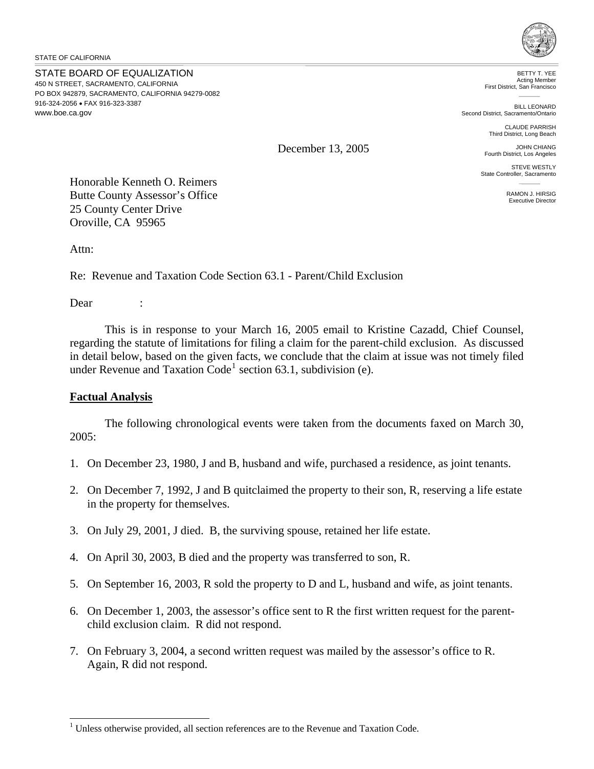STATE OF CALIFORNIA

STATE BOARD OF EQUALIZATION 450 N STREET, SACRAMENTO, CALIFORNIA PO BOX 942879, SACRAMENTO, CALIFORNIA 94279-0082 916-324-2056 • FAX 916-323-3387 www.boe.ca.gov



BETTY T. YEE Acting Member First District, San Francisco

BILL LEONARD Second District, Sacramento/Ontario

> CLAUDE PARRISH Third District, Long Beach

JOHN CHIANG Fourth District, Los Angeles

STEVE WESTLY State Controller, Sacramento

> RAMON J. HIRSIG Executive Director

December 13, 2005

Honorable Kenneth O. Reimers Butte County Assessor's Office 25 County Center Drive Oroville, CA 95965

Attn:

Re: Revenue and Taxation Code Section 63.1 - Parent/Child Exclusion

Dear :

 $\overline{a}$ 

 This is in response to your March 16, 2005 email to Kristine Cazadd, Chief Counsel, regarding the statute of limitations for filing a claim for the parent-child exclusion. As discussed in detail below, based on the given facts, we conclude that the claim at issue was not timely filed under Revenue and Taxation  $Code<sup>1</sup>$  $Code<sup>1</sup>$  $Code<sup>1</sup>$  section 63.1, subdivision (e).

# **Factual Analysis**

The following chronological events were taken from the documents faxed on March 30, 2005:

- 1. On December 23, 1980, J and B, husband and wife, purchased a residence, as joint tenants.
- 2. On December 7, 1992, J and B quitclaimed the property to their son, R, reserving a life estate in the property for themselves.
- 3. On July 29, 2001, J died. B, the surviving spouse, retained her life estate.
- 4. On April 30, 2003, B died and the property was transferred to son, R.
- 5. On September 16, 2003, R sold the property to D and L, husband and wife, as joint tenants.
- 6. On December 1, 2003, the assessor's office sent to R the first written request for the parentchild exclusion claim. R did not respond.
- 7. On February 3, 2004, a second written request was mailed by the assessor's office to R. Again, R did not respond.

<span id="page-0-0"></span> $<sup>1</sup>$  Unless otherwise provided, all section references are to the Revenue and Taxation Code.</sup>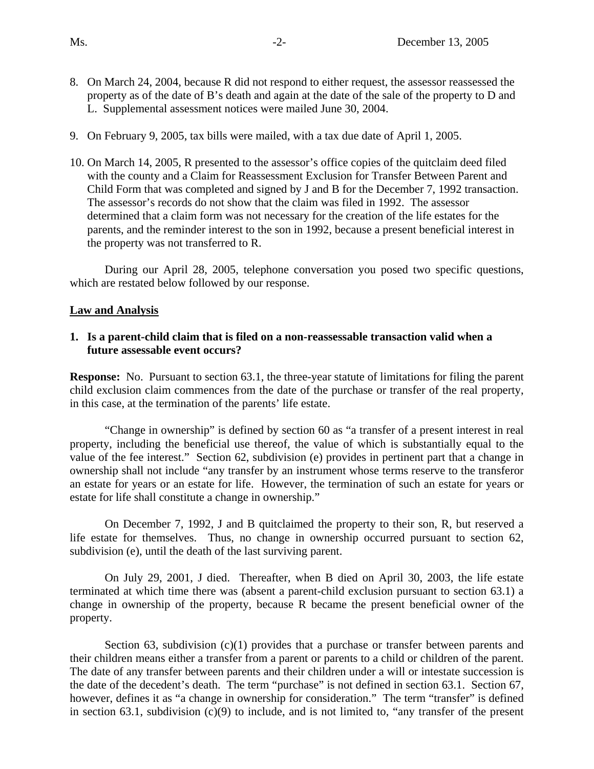- 8. On March 24, 2004, because R did not respond to either request, the assessor reassessed the property as of the date of B's death and again at the date of the sale of the property to D and L. Supplemental assessment notices were mailed June 30, 2004.
- 9. On February 9, 2005, tax bills were mailed, with a tax due date of April 1, 2005.
- 10. On March 14, 2005, R presented to the assessor's office copies of the quitclaim deed filed with the county and a Claim for Reassessment Exclusion for Transfer Between Parent and Child Form that was completed and signed by J and B for the December 7, 1992 transaction. The assessor's records do not show that the claim was filed in 1992. The assessor determined that a claim form was not necessary for the creation of the life estates for the parents, and the reminder interest to the son in 1992, because a present beneficial interest in the property was not transferred to R.

During our April 28, 2005, telephone conversation you posed two specific questions, which are restated below followed by our response.

# **Law and Analysis**

# **1. Is a parent-child claim that is filed on a non-reassessable transaction valid when a future assessable event occurs?**

**Response:** No. Pursuant to section 63.1, the three-year statute of limitations for filing the parent child exclusion claim commences from the date of the purchase or transfer of the real property, in this case, at the termination of the parents' life estate.

 "Change in ownership" is defined by section 60 as "a transfer of a present interest in real property, including the beneficial use thereof, the value of which is substantially equal to the value of the fee interest." Section 62, subdivision (e) provides in pertinent part that a change in ownership shall not include "any transfer by an instrument whose terms reserve to the transferor an estate for years or an estate for life. However, the termination of such an estate for years or estate for life shall constitute a change in ownership."

On December 7, 1992, J and B quitclaimed the property to their son, R, but reserved a life estate for themselves. Thus, no change in ownership occurred pursuant to section 62, subdivision (e), until the death of the last surviving parent.

On July 29, 2001, J died. Thereafter, when B died on April 30, 2003, the life estate terminated at which time there was (absent a parent-child exclusion pursuant to section 63.1) a change in ownership of the property, because R became the present beneficial owner of the property.

Section 63, subdivision (c)(1) provides that a purchase or transfer between parents and their children means either a transfer from a parent or parents to a child or children of the parent. The date of any transfer between parents and their children under a will or intestate succession is the date of the decedent's death. The term "purchase" is not defined in section 63.1. Section 67, however, defines it as "a change in ownership for consideration." The term "transfer" is defined in section 63.1, subdivision  $(c)(9)$  to include, and is not limited to, "any transfer of the present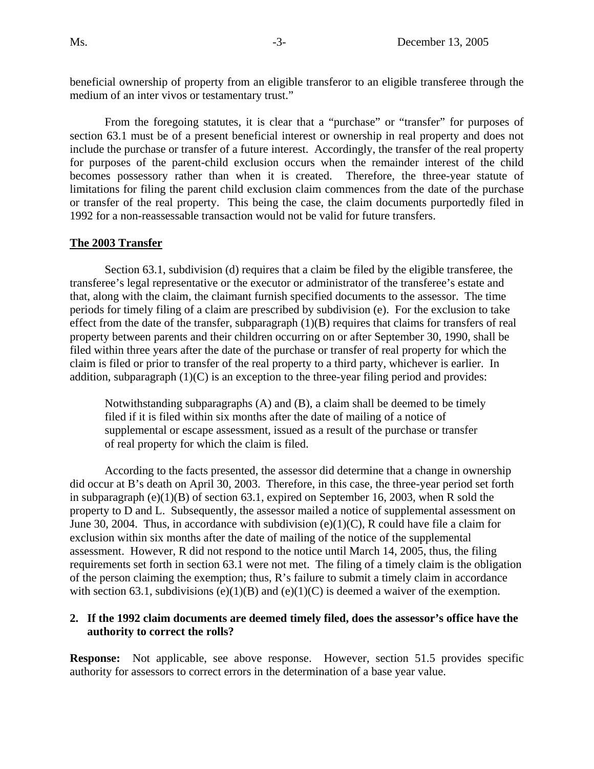beneficial ownership of property from an eligible transferor to an eligible transferee through the medium of an inter vivos or testamentary trust."

From the foregoing statutes, it is clear that a "purchase" or "transfer" for purposes of section 63.1 must be of a present beneficial interest or ownership in real property and does not include the purchase or transfer of a future interest. Accordingly, the transfer of the real property for purposes of the parent-child exclusion occurs when the remainder interest of the child becomes possessory rather than when it is created. Therefore, the three-year statute of limitations for filing the parent child exclusion claim commences from the date of the purchase or transfer of the real property. This being the case, the claim documents purportedly filed in 1992 for a non-reassessable transaction would not be valid for future transfers.

# **The 2003 Transfer**

Section 63.1, subdivision (d) requires that a claim be filed by the eligible transferee, the transferee's legal representative or the executor or administrator of the transferee's estate and that, along with the claim, the claimant furnish specified documents to the assessor. The time periods for timely filing of a claim are prescribed by subdivision (e). For the exclusion to take effect from the date of the transfer, subparagraph (1)(B) requires that claims for transfers of real property between parents and their children occurring on or after September 30, 1990, shall be filed within three years after the date of the purchase or transfer of real property for which the claim is filed or prior to transfer of the real property to a third party, whichever is earlier. In addition, subparagraph  $(1)(C)$  is an exception to the three-year filing period and provides:

Notwithstanding subparagraphs (A) and (B), a claim shall be deemed to be timely filed if it is filed within six months after the date of mailing of a notice of supplemental or escape assessment, issued as a result of the purchase or transfer of real property for which the claim is filed.

 According to the facts presented, the assessor did determine that a change in ownership did occur at B's death on April 30, 2003. Therefore, in this case, the three-year period set forth in subparagraph (e)(1)(B) of section 63.1, expired on September 16, 2003, when R sold the property to D and L. Subsequently, the assessor mailed a notice of supplemental assessment on June 30, 2004. Thus, in accordance with subdivision  $(e)(1)(C)$ , R could have file a claim for exclusion within six months after the date of mailing of the notice of the supplemental assessment. However, R did not respond to the notice until March 14, 2005, thus, the filing requirements set forth in section 63.1 were not met. The filing of a timely claim is the obligation of the person claiming the exemption; thus, R's failure to submit a timely claim in accordance with section 63.1, subdivisions (e)(1)(B) and (e)(1)(C) is deemed a waiver of the exemption.

#### **2. If the 1992 claim documents are deemed timely filed, does the assessor's office have the authority to correct the rolls?**

**Response:** Not applicable, see above response. However, section 51.5 provides specific authority for assessors to correct errors in the determination of a base year value.